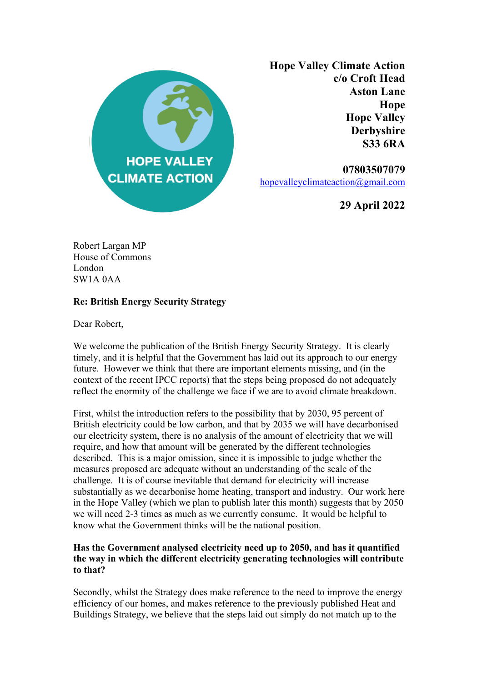

**Hope Valley Climate Action c/o Croft Head Aston Lane Hope Hope Valley Derbyshire S33 6RA**

**07803507079** hopevalleyclimateaction@gmail.com

**29 April 2022**

Robert Largan MP House of Commons London SW1A 0AA

# **Re: British Energy Security Strategy**

Dear Robert,

We welcome the publication of the British Energy Security Strategy. It is clearly timely, and it is helpful that the Government has laid out its approach to our energy future. However we think that there are important elements missing, and (in the context of the recent IPCC reports) that the steps being proposed do not adequately reflect the enormity of the challenge we face if we are to avoid climate breakdown.

First, whilst the introduction refers to the possibility that by 2030, 95 percent of British electricity could be low carbon, and that by 2035 we will have decarbonised our electricity system, there is no analysis of the amount of electricity that we will require, and how that amount will be generated by the different technologies described. This is a major omission, since it is impossible to judge whether the measures proposed are adequate without an understanding of the scale of the challenge. It is of course inevitable that demand for electricity will increase substantially as we decarbonise home heating, transport and industry. Our work here in the Hope Valley (which we plan to publish later this month) suggests that by 2050 we will need 2-3 times as much as we currently consume. It would be helpful to know what the Government thinks will be the national position.

# **Has the Government analysed electricity need up to 2050, and has it quantified the way in which the different electricity generating technologies will contribute to that?**

Secondly, whilst the Strategy does make reference to the need to improve the energy efficiency of our homes, and makes reference to the previously published Heat and Buildings Strategy, we believe that the steps laid out simply do not match up to the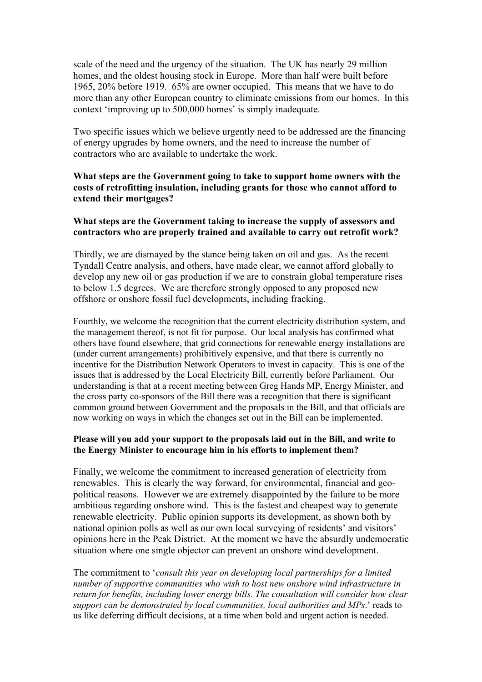scale of the need and the urgency of the situation. The UK has nearly 29 million homes, and the oldest housing stock in Europe. More than half were built before 1965, 20% before 1919. 65% are owner occupied. This means that we have to do more than any other European country to eliminate emissions from our homes. In this context 'improving up to 500,000 homes' is simply inadequate.

Two specific issues which we believe urgently need to be addressed are the financing of energy upgrades by home owners, and the need to increase the number of contractors who are available to undertake the work.

## **What steps are the Government going to take to support home owners with the costs of retrofitting insulation, including grants for those who cannot afford to extend their mortgages?**

## **What steps are the Government taking to increase the supply of assessors and contractors who are properly trained and available to carry out retrofit work?**

Thirdly, we are dismayed by the stance being taken on oil and gas. As the recent Tyndall Centre analysis, and others, have made clear, we cannot afford globally to develop any new oil or gas production if we are to constrain global temperature rises to below 1.5 degrees. We are therefore strongly opposed to any proposed new offshore or onshore fossil fuel developments, including fracking.

Fourthly, we welcome the recognition that the current electricity distribution system, and the management thereof, is not fit for purpose. Our local analysis has confirmed what others have found elsewhere, that grid connections for renewable energy installations are (under current arrangements) prohibitively expensive, and that there is currently no incentive for the Distribution Network Operators to invest in capacity. This is one of the issues that is addressed by the Local Electricity Bill, currently before Parliament. Our understanding is that at a recent meeting between Greg Hands MP, Energy Minister, and the cross party co-sponsors of the Bill there was a recognition that there is significant common ground between Government and the proposals in the Bill, and that officials are now working on ways in which the changes set out in the Bill can be implemented.

#### **Please will you add your support to the proposals laid out in the Bill, and write to the Energy Minister to encourage him in his efforts to implement them?**

Finally, we welcome the commitment to increased generation of electricity from renewables. This is clearly the way forward, for environmental, financial and geopolitical reasons. However we are extremely disappointed by the failure to be more ambitious regarding onshore wind. This is the fastest and cheapest way to generate renewable electricity. Public opinion supports its development, as shown both by national opinion polls as well as our own local surveying of residents' and visitors' opinions here in the Peak District. At the moment we have the absurdly undemocratic situation where one single objector can prevent an onshore wind development.

The commitment to '*consult this year on developing local partnerships for a limited number of supportive communities who wish to host new onshore wind infrastructure in return for benefits, including lower energy bills. The consultation will consider how clear support can be demonstrated by local communities, local authorities and MPs*.' reads to us like deferring difficult decisions, at a time when bold and urgent action is needed.